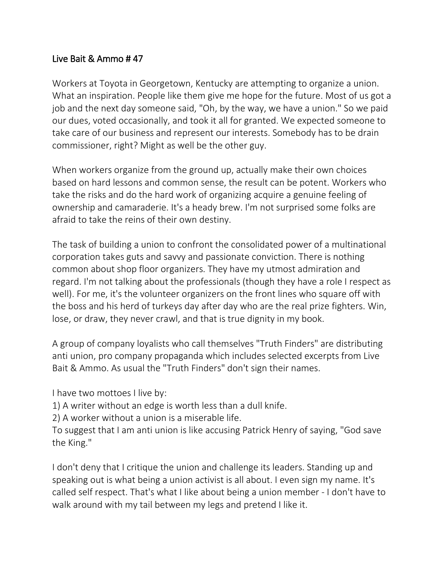## Live Bait & Ammo # 47

Workers at Toyota in Georgetown, Kentucky are attempting to organize a union. What an inspiration. People like them give me hope for the future. Most of us got a job and the next day someone said, "Oh, by the way, we have a union." So we paid our dues, voted occasionally, and took it all for granted. We expected someone to take care of our business and represent our interests. Somebody has to be drain commissioner, right? Might as well be the other guy.

When workers organize from the ground up, actually make their own choices based on hard lessons and common sense, the result can be potent. Workers who take the risks and do the hard work of organizing acquire a genuine feeling of ownership and camaraderie. It's a heady brew. I'm not surprised some folks are afraid to take the reins of their own destiny.

The task of building a union to confront the consolidated power of a multinational corporation takes guts and savvy and passionate conviction. There is nothing common about shop floor organizers. They have my utmost admiration and regard. I'm not talking about the professionals (though they have a role I respect as well). For me, it's the volunteer organizers on the front lines who square off with the boss and his herd of turkeys day after day who are the real prize fighters. Win, lose, or draw, they never crawl, and that is true dignity in my book.

A group of company loyalists who call themselves "Truth Finders" are distributing anti union, pro company propaganda which includes selected excerpts from Live Bait & Ammo. As usual the "Truth Finders" don't sign their names.

I have two mottoes I live by:

1) A writer without an edge is worth less than a dull knife.

2) A worker without a union is a miserable life.

To suggest that I am anti union is like accusing Patrick Henry of saying, "God save the King."

I don't deny that I critique the union and challenge its leaders. Standing up and speaking out is what being a union activist is all about. I even sign my name. It's called self respect. That's what I like about being a union member - I don't have to walk around with my tail between my legs and pretend I like it.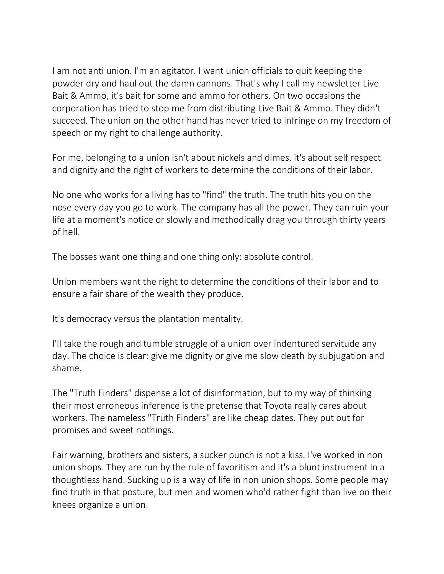I am not anti union. I'm an agitator. I want union officials to quit keeping the powder dry and haul out the damn cannons. That's why I call my newsletter Live Bait & Ammo, it's bait for some and ammo for others. On two occasions the corporation has tried to stop me from distributing Live Bait & Ammo. They didn't succeed. The union on the other hand has never tried to infringe on my freedom of speech or my right to challenge authority.

For me, belonging to a union isn't about nickels and dimes, it's about self respect and dignity and the right of workers to determine the conditions of their labor.

No one who works for a living has to "find" the truth. The truth hits you on the nose every day you go to work. The company has all the power. They can ruin your life at a moment's notice or slowly and methodically drag you through thirty years of hell.

The bosses want one thing and one thing only: absolute control.

Union members want the right to determine the conditions of their labor and to ensure a fair share of the wealth they produce.

It's democracy versus the plantation mentality.

I'll take the rough and tumble struggle of a union over indentured servitude any day. The choice is clear: give me dignity or give me slow death by subjugation and shame.

The "Truth Finders" dispense a lot of disinformation, but to my way of thinking their most erroneous inference is the pretense that Toyota really cares about workers. The nameless "Truth Finders" are like cheap dates. They put out for promises and sweet nothings.

Fair warning, brothers and sisters, a sucker punch is not a kiss. I've worked in non union shops. They are run by the rule of favoritism and it's a blunt instrument in a thoughtless hand. Sucking up is a way of life in non union shops. Some people may find truth in that posture, but men and women who'd rather fight than live on their knees organize a union.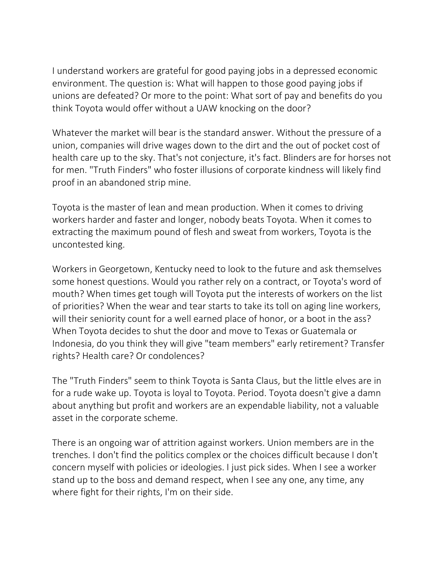I understand workers are grateful for good paying jobs in a depressed economic environment. The question is: What will happen to those good paying jobs if unions are defeated? Or more to the point: What sort of pay and benefits do you think Toyota would offer without a UAW knocking on the door?

Whatever the market will bear is the standard answer. Without the pressure of a union, companies will drive wages down to the dirt and the out of pocket cost of health care up to the sky. That's not conjecture, it's fact. Blinders are for horses not for men. "Truth Finders" who foster illusions of corporate kindness will likely find proof in an abandoned strip mine.

Toyota is the master of lean and mean production. When it comes to driving workers harder and faster and longer, nobody beats Toyota. When it comes to extracting the maximum pound of flesh and sweat from workers, Toyota is the uncontested king.

Workers in Georgetown, Kentucky need to look to the future and ask themselves some honest questions. Would you rather rely on a contract, or Toyota's word of mouth? When times get tough will Toyota put the interests of workers on the list of priorities? When the wear and tear starts to take its toll on aging line workers, will their seniority count for a well earned place of honor, or a boot in the ass? When Toyota decides to shut the door and move to Texas or Guatemala or Indonesia, do you think they will give "team members" early retirement? Transfer rights? Health care? Or condolences?

The "Truth Finders" seem to think Toyota is Santa Claus, but the little elves are in for a rude wake up. Toyota is loyal to Toyota. Period. Toyota doesn't give a damn about anything but profit and workers are an expendable liability, not a valuable asset in the corporate scheme.

There is an ongoing war of attrition against workers. Union members are in the trenches. I don't find the politics complex or the choices difficult because I don't concern myself with policies or ideologies. I just pick sides. When I see a worker stand up to the boss and demand respect, when I see any one, any time, any where fight for their rights, I'm on their side.